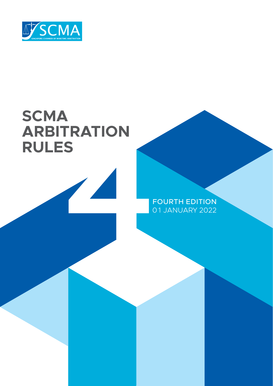

# **SCMA ARBITRATION RULES**



FOURTH EDITION 0 1 JANUARY 2022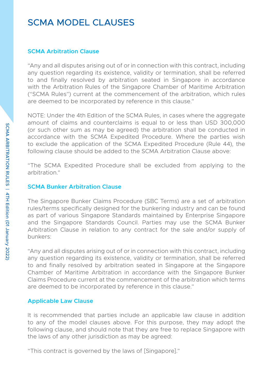## SCMA MODEL CLAUSES

#### **SCMA Arbitration Clause**

"Any and all disputes arising out of or in connection with this contract, including any question regarding its existence, validity or termination, shall be referred to and finally resolved by arbitration seated in Singapore in accordance with the Arbitration Rules of the Singapore Chamber of Maritime Arbitration ("SCMA Rules") current at the commencement of the arbitration, which rules are deemed to be incorporated by reference in this clause."

NOTE: Under the 4th Edition of the SCMA Rules, in cases where the aggregate amount of claims and counterclaims is equal to or less than USD 300,000 (or such other sum as may be agreed) the arbitration shall be conducted in accordance with the SCMA Expedited Procedure. Where the parties wish to exclude the application of the SCMA Expedited Procedure (Rule 44), the following clause should be added to the SCMA Arbitration Clause above:

"The SCMA Expedited Procedure shall be excluded from applying to the arbitration."

#### **SCMA Bunker Arbitration Clause**

The Singapore Bunker Claims Procedure (SBC Terms) are a set of arbitration rules/terms specifically designed for the bunkering industry and can be found as part of various Singapore Standards maintained by Enterprise Singapore and the Singapore Standards Council. Parties may use the SCMA Bunker Arbitration Clause in relation to any contract for the sale and/or supply of bunkers:

"Any and all disputes arising out of or in connection with this contract, including any question regarding its existence, validity or termination, shall be referred to and finally resolved by arbitration seated in Singapore at the Singapore Chamber of Maritime Arbitration in accordance with the Singapore Bunker Claims Procedure current at the commencement of the arbitration which terms are deemed to be incorporated by reference in this clause."

#### **Applicable Law Clause**

It is recommended that parties include an applicable law clause in addition to any of the model clauses above. For this purpose, they may adopt the following clause, and should note that they are free to replace Singapore with the laws of any other jurisdiction as may be agreed:

"This contract is governed by the laws of [Singapore]."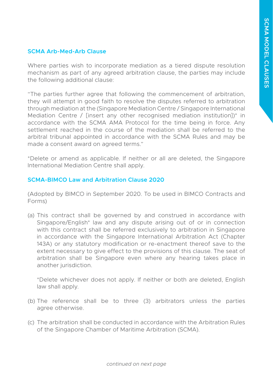#### **SCMA Arb-Med-Arb Clause**

Where parties wish to incorporate mediation as a tiered dispute resolution mechanism as part of any agreed arbitration clause, the parties may include the following additional clause:

"The parties further agree that following the commencement of arbitration, they will attempt in good faith to resolve the disputes referred to arbitration through mediation at the (Singapore Mediation Centre / Singapore International Mediation Centre / [insert any other recognised mediation institution])\* in accordance with the SCMA AMA Protocol for the time being in force. Any settlement reached in the course of the mediation shall be referred to the arbitral tribunal appointed in accordance with the SCMA Rules and may be made a consent award on agreed terms."

\*Delete or amend as applicable. If neither or all are deleted, the Singapore International Mediation Centre shall apply.

#### **SCMA-BIMCO Law and Arbitration Clause 2020**

(Adopted by BIMCO in September 2020. To be used in BIMCO Contracts and Forms)

(a) This contract shall be governed by and construed in accordance with Singapore/English\* law and any dispute arising out of or in connection with this contract shall be referred exclusively to arbitration in Singapore in accordance with the Singapore International Arbitration Act (Chapter 143A) or any statutory modification or re-enactment thereof save to the extent necessary to give effect to the provisions of this clause. The seat of arbitration shall be Singapore even where any hearing takes place in another jurisdiction.

\*Delete whichever does not apply. If neither or both are deleted, English law shall apply.

- (b) The reference shall be to three (3) arbitrators unless the parties agree otherwise.
- (c) The arbitration shall be conducted in accordance with the Arbitration Rules of the Singapore Chamber of Maritime Arbitration (SCMA).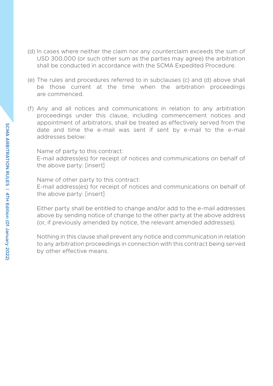- (d) In cases where neither the claim nor any counterclaim exceeds the sum of USD 300,000 (or such other sum as the parties may agree) the arbitration shall be conducted in accordance with the SCMA Expedited Procedure.
- (e) The rules and procedures referred to in subclauses (c) and (d) above shall be those current at the time when the arbitration proceedings are commenced.
- (f) Any and all notices and communications in relation to any arbitration proceedings under this clause, including commencement notices and appointment of arbitrators, shall be treated as effectively served from the date and time the e-mail was sent if sent by e-mail to the e-mail addresses below:

Name of party to this contract: E-mail address(es) for receipt of notices and communications on behalf of the above party: [insert]

Name of other party to this contract: E-mail address(es) for receipt of notices and communications on behalf of the above party: [insert]

Either party shall be entitled to change and/or add to the e-mail addresses above by sending notice of change to the other party at the above address (or, if previously amended by notice, the relevant amended addresses).

Nothing in this clause shall prevent any notice and communication in relation to any arbitration proceedings in connection with this contract being served by other effective means.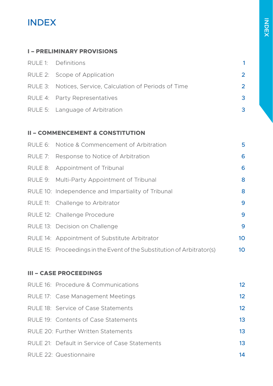## INDEX

### **[I – PRELIMINARY PROVISIONS](#page-7-0)**

| RULE 1: Definitions                                      |               |
|----------------------------------------------------------|---------------|
| RULE 2: Scope of Application                             | $\mathcal{P}$ |
| RULE 3: Notices, Service, Calculation of Periods of Time | $\mathcal{P}$ |
| RULE 4: Party Representatives                            | 3             |
| RULE 5: Language of Arbitration                          |               |

### **[II – COMMENCEMENT & CONSTITUTION](#page-11-0)**

| RULE 6: Notice & Commencement of Arbitration                           | 5  |
|------------------------------------------------------------------------|----|
| RULE 7: Response to Notice of Arbitration                              | 6  |
| RULE 8: Appointment of Tribunal                                        | 6  |
| RULE 9: Multi-Party Appointment of Tribunal                            | 8  |
| RULE 10: Independence and Impartiality of Tribunal                     | 8  |
| RULE 11: Challenge to Arbitrator                                       | 9  |
| RULE 12: Challenge Procedure                                           | 9  |
| RULE 13: Decision on Challenge                                         | 9  |
| RULE 14: Appointment of Substitute Arbitrator                          | 10 |
| RULE 15: Proceedings in the Event of the Substitution of Arbitrator(s) | 10 |

### **[III – CASE PROCEEDINGS](#page-18-0)**

| RULE 16: Procedure & Communications            | 12 |
|------------------------------------------------|----|
| RULE 17: Case Management Meetings              | 12 |
| RULE 18: Service of Case Statements            | 12 |
| RULE 19: Contents of Case Statements           | 13 |
| RULE 20: Further Written Statements            | 13 |
| RULE 21: Default in Service of Case Statements | 13 |
| RULE 22: Questionnaire                         | 14 |
|                                                |    |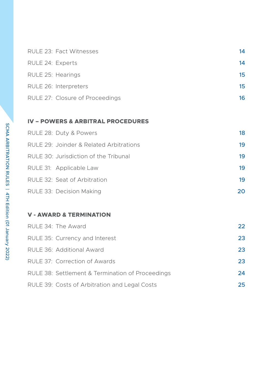|                   | RULE 23: Fact Witnesses         | 14 |
|-------------------|---------------------------------|----|
| RULE 24: Experts  |                                 | 14 |
| RULE 25: Hearings |                                 | 15 |
|                   | RULE 26: Interpreters           | 15 |
|                   | RULE 27: Closure of Proceedings | 16 |

### **[IV – POWERS & ARBITRAL PROCEDURES](#page-24-0)**

| RULE 28: Duty & Powers                  | 18  |
|-----------------------------------------|-----|
| RULE 29: Joinder & Related Arbitrations | 19  |
| RULE 30: Jurisdiction of the Tribunal   | 19  |
| RULE 31: Applicable Law                 | 19  |
| RULE 32: Seat of Arbitration            | 19  |
| RULE 33: Decision Making                | 20. |

### **[V - AWARD & TERMINATION](#page-28-0)**

| RULE 34: The Award                               | 22 |
|--------------------------------------------------|----|
| RULE 35: Currency and Interest                   | 23 |
| RULE 36: Additional Award                        | 23 |
| RULE 37: Correction of Awards                    | 23 |
| RULE 38: Settlement & Termination of Proceedings | 24 |
| RULE 39: Costs of Arbitration and Legal Costs    | 25 |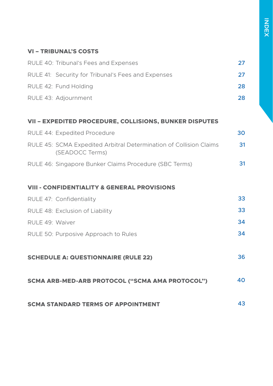### **[VI – TRIBUNAL'S COSTS](#page-33-0)**

| RULE 40: Tribunal's Fees and Expenses                                                 | 27 |
|---------------------------------------------------------------------------------------|----|
| RULE 41: Security for Tribunal's Fees and Expenses                                    | 27 |
| RULE 42: Fund Holding                                                                 | 28 |
| RULE 43: Adjournment                                                                  | 28 |
| VII - EXPEDITED PROCEDURE, COLLISIONS, BUNKER DISPUTES                                |    |
| RULE 44: Expedited Procedure                                                          | 30 |
| RULE 45: SCMA Expedited Arbitral Determination of Collision Claims<br>(SEADOCC Terms) | 31 |
| RULE 46: Singapore Bunker Claims Procedure (SBC Terms)                                | 31 |
| <b>VIII - CONFIDENTIALITY &amp; GENERAL PROVISIONS</b>                                |    |
| RULE 47: Confidentiality                                                              | 33 |
| RULE 48: Exclusion of Liability                                                       | 33 |
| RULE 49: Waiver                                                                       | 34 |
| RULE 50: Purposive Approach to Rules                                                  | 34 |
| <b>SCHEDULE A: QUESTIONNAIRE (RULE 22)</b>                                            | 36 |
| SCMA ARB-MED-ARB PROTOCOL ("SCMA AMA PROTOCOL")                                       | 40 |
| <b>SCMA STANDARD TERMS OF APPOINTMENT</b>                                             | 43 |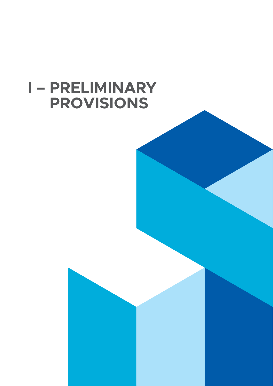# <span id="page-7-0"></span>**I – PRELIMINARY PROVISIONS**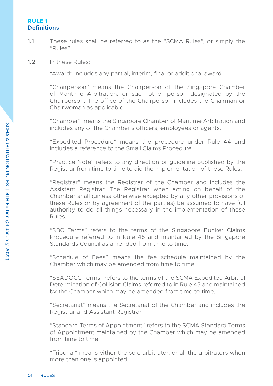#### <span id="page-8-0"></span>**RULE 1 Definitions**

- **1.1** These rules shall be referred to as the "SCMA Rules", or simply the  $"Rulex"$
- **1.2** In these Rules:

"Award" includes any partial, interim, final or additional award.

"Chairperson" means the Chairperson of the Singapore Chamber of Maritime Arbitration, or such other person designated by the Chairperson. The office of the Chairperson includes the Chairman or Chairwoman as applicable.

"Chamber" means the Singapore Chamber of Maritime Arbitration and includes any of the Chamber's officers, employees or agents.

"Expedited Procedure" means the procedure under Rule 44 and includes a reference to the Small Claims Procedure.

"Practice Note" refers to any direction or guideline published by the Registrar from time to time to aid the implementation of these Rules.

"Registrar" means the Registrar of the Chamber and includes the Assistant Registrar. The Registrar when acting on behalf of the Chamber shall (unless otherwise excepted by any other provisions of these Rules or by agreement of the parties) be assumed to have full authority to do all things necessary in the implementation of these Rules.

"SBC Terms" refers to the terms of the Singapore Bunker Claims Procedure referred to in Rule 46 and maintained by the Singapore Standards Council as amended from time to time.

"Schedule of Fees" means the fee schedule maintained by the Chamber which may be amended from time to time.

"SEADOCC Terms" refers to the terms of the SCMA Expedited Arbitral Determination of Collision Claims referred to in Rule 45 and maintained by the Chamber which may be amended from time to time.

"Secretariat" means the Secretariat of the Chamber and includes the Registrar and Assistant Registrar.

"Standard Terms of Appointment" refers to the SCMA Standard Terms of Appointment maintained by the Chamber which may be amended from time to time.

"Tribunal" means either the sole arbitrator, or all the arbitrators when more than one is appointed.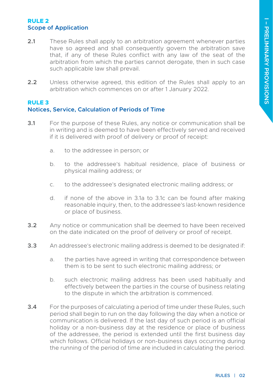#### <span id="page-9-0"></span>**RULE 2 Scope of Application**

- **2.1** These Rules shall apply to an arbitration agreement whenever parties have so agreed and shall consequently govern the arbitration save that, if any of these Rules conflict with any law of the seat of the arbitration from which the parties cannot derogate, then in such case such applicable law shall prevail.
- **2.2** Unless otherwise agreed, this edition of the Rules shall apply to an arbitration which commences on or after 1 January 2022.

#### **RULE 3 Notices, Service, Calculation of Periods of Time**

- **3.1** For the purpose of these Rules, any notice or communication shall be in writing and is deemed to have been effectively served and received if it is delivered with proof of delivery or proof of receipt:
	- a. to the addressee in person; or
	- b. to the addressee's habitual residence, place of business or physical mailing address; or
	- c. to the addressee's designated electronic mailing address; or
	- d. if none of the above in 3.1a to 3.1c can be found after making reasonable inquiry, then, to the addressee's last-known residence or place of business.
- **3.2** Any notice or communication shall be deemed to have been received on the date indicated on the proof of delivery or proof of receipt.
- **3.3** An addressee's electronic mailing address is deemed to be designated if:
	- a. the parties have agreed in writing that correspondence between them is to be sent to such electronic mailing address; or
	- b. such electronic mailing address has been used habitually and effectively between the parties in the course of business relating to the dispute in which the arbitration is commenced.
- **3.4** For the purposes of calculating a period of time under these Rules, such period shall begin to run on the day following the day when a notice or communication is delivered. If the last day of such period is an official holiday or a non-business day at the residence or place of business of the addressee, the period is extended until the first business day which follows. Official holidays or non-business days occurring during the running of the period of time are included in calculating the period.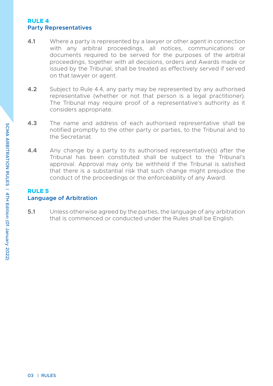#### <span id="page-10-0"></span>**RULE 4 Party Representatives**

- **4.1** Where a party is represented by a lawyer or other agent in connection with any arbitral proceedings, all notices, communications or documents required to be served for the purposes of the arbitral proceedings, together with all decisions, orders and Awards made or issued by the Tribunal, shall be treated as effectively served if served on that lawyer or agent.
- **4.2** Subject to Rule 4.4, any party may be represented by any authorised representative (whether or not that person is a legal practitioner). The Tribunal may require proof of a representative's authority as it considers appropriate.
- **4.3** The name and address of each authorised representative shall be notified promptly to the other party or parties, to the Tribunal and to the Secretariat.
- **4.4** Any change by a party to its authorised representative(s) after the Tribunal has been constituted shall be subject to the Tribunal's approval. Approval may only be withheld if the Tribunal is satisfied that there is a substantial risk that such change might prejudice the conduct of the proceedings or the enforceability of any Award.

#### **RULE 5 Language of Arbitration**

**5.1** Unless otherwise agreed by the parties, the language of any arbitration that is commenced or conducted under the Rules shall be English.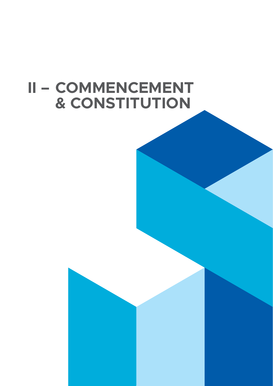# <span id="page-11-0"></span>**II – COMMENCEMENT & CONSTITUTION**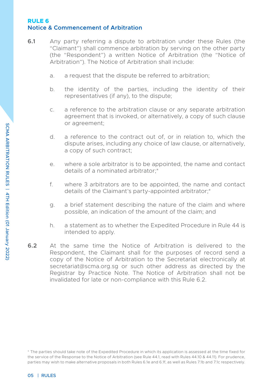#### <span id="page-12-0"></span>**RULE 6 Notice & Commencement of Arbitration**

- **6.1** Any party referring a dispute to arbitration under these Rules (the "Claimant") shall commence arbitration by serving on the other party (the "Respondent") a written Notice of Arbitration (the "Notice of Arbitration"). The Notice of Arbitration shall include:
	- a. a request that the dispute be referred to arbitration;
	- b. the identity of the parties, including the identity of their representatives (if any), to the dispute;
	- c. a reference to the arbitration clause or any separate arbitration agreement that is invoked, or alternatively, a copy of such clause or agreement;
	- d. a reference to the contract out of, or in relation to, which the dispute arises, including any choice of law clause, or alternatively, a copy of such contract;
	- e. where a sole arbitrator is to be appointed, the name and contact details of a nominated arbitrator:\*
	- f. where 3 arbitrators are to be appointed, the name and contact details of the Claimant's party-appointed arbitrator;\*
	- g. a brief statement describing the nature of the claim and where possible, an indication of the amount of the claim; and
	- h. a statement as to whether the Expedited Procedure in Rule 44 is intended to apply.
- **6.2** At the same time the Notice of Arbitration is delivered to the Respondent, the Claimant shall for the purposes of record send a copy of the Notice of Arbitration to the Secretariat electronically at secretariat@scma.org.sg or such other address as directed by the Registrar by Practice Note. The Notice of Arbitration shall not be invalidated for late or non-compliance with this Rule 6.2.

<sup>\*</sup> The parties should take note of the Expedited Procedure in which its application is assessed at the time fixed for the service of the Response to the Notice of Arbitration (see Rule 44.1, read with Rules 44.10 & 44.11). For prudence, parties may wish to make alternative proposals in both Rules 6.1e and 6.1f, as well as Rules 7.1b and 7.1c respectively.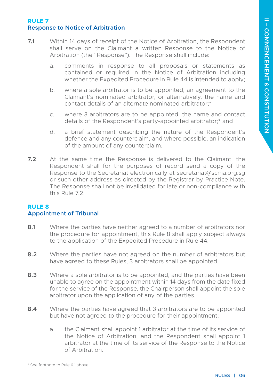#### <span id="page-13-0"></span>**RULE 7 Response to Notice of Arbitration**

- **7.1** Within 14 days of receipt of the Notice of Arbitration, the Respondent shall serve on the Claimant a written Response to the Notice of Arbitration (the "Response"). The Response shall include:
	- a. comments in response to all proposals or statements as contained or required in the Notice of Arbitration including whether the Expedited Procedure in Rule 44 is intended to apply;
	- b. where a sole arbitrator is to be appointed, an agreement to the Claimant's nominated arbitrator, or alternatively, the name and contact details of an alternate nominated arbitrator;\*
	- c. where 3 arbitrators are to be appointed, the name and contact details of the Respondent's party-appointed arbitrator;\* and
	- d. a brief statement describing the nature of the Respondent's defence and any counterclaim, and where possible, an indication of the amount of any counterclaim.
- **7.2** At the same time the Response is delivered to the Claimant, the Respondent shall for the purposes of record send a copy of the Response to the Secretariat electronically at secretariat@scma.org.sg or such other address as directed by the Registrar by Practice Note. The Response shall not be invalidated for late or non-compliance with this Rule 7.2.

#### **RULE 8 Appointment of Tribunal**

- **8.1** Where the parties have neither agreed to a number of arbitrators nor the procedure for appointment, this Rule 8 shall apply subject always to the application of the Expedited Procedure in Rule 44.
- **8.2** Where the parties have not agreed on the number of arbitrators but have agreed to these Rules, 3 arbitrators shall be appointed.
- **8.3** Where a sole arbitrator is to be appointed, and the parties have been unable to agree on the appointment within 14 days from the date fixed for the service of the Response, the Chairperson shall appoint the sole arbitrator upon the application of any of the parties.
- **8.4** Where the parties have agreed that 3 arbitrators are to be appointed but have not agreed to the procedure for their appointment:
	- a. the Claimant shall appoint 1 arbitrator at the time of its service of the Notice of Arbitration, and the Respondent shall appoint 1 arbitrator at the time of its service of the Response to the Notice of Arbitration.

<sup>\*</sup> See footnote to Rule 6.1 above.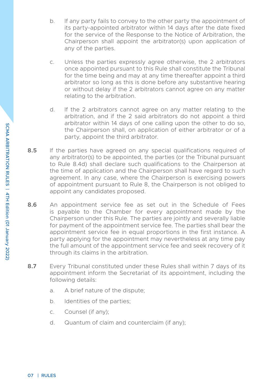- b. If any party fails to convey to the other party the appointment of its party-appointed arbitrator within 14 days after the date fixed for the service of the Response to the Notice of Arbitration, the Chairperson shall appoint the arbitrator(s) upon application of any of the parties.
- c. Unless the parties expressly agree otherwise, the 2 arbitrators once appointed pursuant to this Rule shall constitute the Tribunal for the time being and may at any time thereafter appoint a third arbitrator so long as this is done before any substantive hearing or without delay if the 2 arbitrators cannot agree on any matter relating to the arbitration.
- d. If the 2 arbitrators cannot agree on any matter relating to the arbitration, and if the 2 said arbitrators do not appoint a third arbitrator within 14 days of one calling upon the other to do so, the Chairperson shall, on application of either arbitrator or of a party, appoint the third arbitrator.
- 8.5 If the parties have agreed on any special qualifications required of any arbitrator(s) to be appointed, the parties (or the Tribunal pursuant to Rule 8.4d) shall declare such qualifications to the Chairperson at the time of application and the Chairperson shall have regard to such agreement. In any case, where the Chairperson is exercising powers of appointment pursuant to Rule 8, the Chairperson is not obliged to appoint any candidates proposed.
- **8.6** An appointment service fee as set out in the Schedule of Fees is payable to the Chamber for every appointment made by the Chairperson under this Rule. The parties are jointly and severally liable for payment of the appointment service fee. The parties shall bear the appointment service fee in equal proportions in the first instance. A party applying for the appointment may nevertheless at any time pay the full amount of the appointment service fee and seek recovery of it through its claims in the arbitration.
- **8.7** Every Tribunal constituted under these Rules shall within 7 days of its appointment inform the Secretariat of its appointment, including the following details:
	- a. A brief nature of the dispute;
	- b. Identities of the parties;
	- c. Counsel (if any);
	- d. Quantum of claim and counterclaim (if any);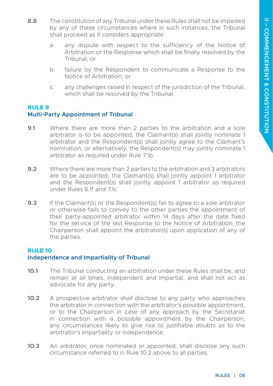- <span id="page-15-0"></span>**8.8** The constitution of any Tribunal under these Rules shall not be impeded by any of these circumstances where in such instances, the Tribunal shall proceed as it considers appropriate:
	- a. any dispute with respect to the sufficiency of the Notice of Arbitration or the Response which shall be finally resolved by the Tribunal; or
	- b. failure by the Respondent to communicate a Response to the Notice of Arbitration; or
	- c. any challenges raised in respect of the jurisdiction of the Tribunal, which shall be resolved by the Tribunal.

#### **RULE 9 Multi-Party Appointment of Tribunal**

- **9.1** Where there are more than 2 parties to the arbitration and a sole arbitrator is to be appointed, the Claimant(s) shall jointly nominate 1 arbitrator and the Respondent(s) shall jointly agree to the Claimant's nomination, or alternatively, the Respondent(s) may jointly nominate 1 arbitrator as required under Rule 7.1b.
- **9.2** Where there are more than 2 parties to the arbitration and 3 arbitrators are to be appointed, the Claimant(s) shall jointly appoint 1 arbitrator and the Respondent(s) shall jointly appoint 1 arbitrator as required under Rules 6.1f and 7.1c.
- **9.3** If the Claimant(s) or the Respondent(s) fail to agree to a sole arbitrator or otherwise fails to convey to the other parties the appointment of their party-appointed arbitrator within 14 days after the date fixed for the service of the last Response to the Notice of Arbitration, the Chairperson shall appoint the arbitrator(s) upon application of any of the parties.

#### **RULE 10 Independence and Impartiality of Tribunal**

- **10.1** The Tribunal conducting an arbitration under these Rules shall be, and remain at all times, independent and impartial, and shall not act as advocate for any party.
- **10.2** A prospective arbitrator shall disclose to any party who approaches the arbitrator in connection with the arbitrator's possible appointment, or to the Chairperson in case of any approach by the Secretariat in connection with a possible appointment by the Chairperson, any circumstances likely to give rise to justifiable doubts as to the arbitrator's impartiality or independence.
- **10.3** An arbitrator, once nominated or appointed, shall disclose any such circumstance referred to in Rule 10.2 above to all parties.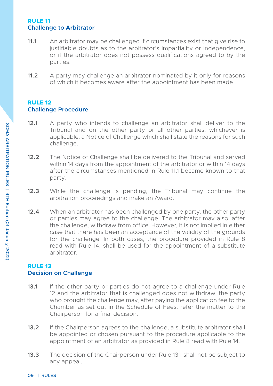#### <span id="page-16-0"></span>**RULE 11 Challenge to Arbitrator**

- **11.1** An arbitrator may be challenged if circumstances exist that give rise to justifiable doubts as to the arbitrator's impartiality or independence, or if the arbitrator does not possess qualifications agreed to by the parties.
- **11.2** A party may challenge an arbitrator nominated by it only for reasons of which it becomes aware after the appointment has been made.

#### **RULE 12 Challenge Procedure**

- **12.1** A party who intends to challenge an arbitrator shall deliver to the Tribunal and on the other party or all other parties, whichever is applicable, a Notice of Challenge which shall state the reasons for such challenge.
- **12.2** The Notice of Challenge shall be delivered to the Tribunal and served within 14 days from the appointment of the arbitrator or within 14 days after the circumstances mentioned in Rule 11.1 became known to that party.
- **12.3** While the challenge is pending, the Tribunal may continue the arbitration proceedings and make an Award.
- **12.4** When an arbitrator has been challenged by one party, the other party or parties may agree to the challenge. The arbitrator may also, after the challenge, withdraw from office. However, it is not implied in either case that there has been an acceptance of the validity of the grounds for the challenge. In both cases, the procedure provided in Rule 8 read with Rule 14, shall be used for the appointment of a substitute arbitrator.

#### **RULE 13 Decision on Challenge**

- **13.1** If the other party or parties do not agree to a challenge under Rule 12 and the arbitrator that is challenged does not withdraw, the party who brought the challenge may, after paying the application fee to the Chamber as set out in the Schedule of Fees, refer the matter to the Chairperson for a final decision.
- **13.2** If the Chairperson agrees to the challenge, a substitute arbitrator shall be appointed or chosen pursuant to the procedure applicable to the appointment of an arbitrator as provided in Rule 8 read with Rule 14.
- **13.3** The decision of the Chairperson under Rule 13.1 shall not be subject to any appeal.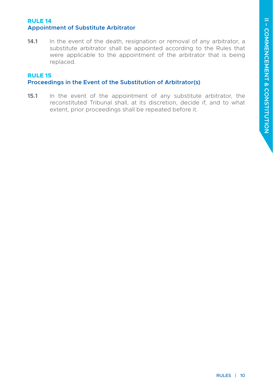#### <span id="page-17-0"></span>**RULE 14 Appointment of Substitute Arbitrator**

**14.1** In the event of the death, resignation or removal of any arbitrator, a substitute arbitrator shall be appointed according to the Rules that were applicable to the appointment of the arbitrator that is being replaced.

#### **RULE 15 Proceedings in the Event of the Substitution of Arbitrator(s)**

**15.1** In the event of the appointment of any substitute arbitrator, the reconstituted Tribunal shall, at its discretion, decide if, and to what extent, prior proceedings shall be repeated before it.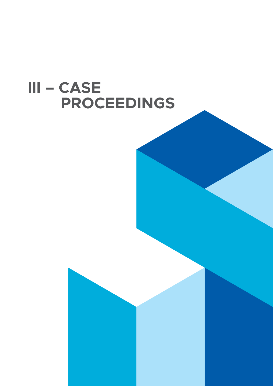# <span id="page-18-0"></span>**III – CASE PROCEEDINGS**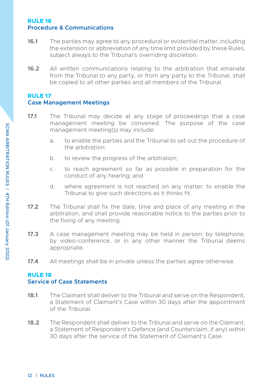#### <span id="page-19-0"></span>**RULE 16 Procedure & Communications**

- **16.1** The parties may agree to any procedural or evidential matter, including the extension or abbreviation of any time limit provided by these Rules, subject always to the Tribunal's overriding discretion.
- **16.2** All written communications relating to the arbitration that emanate from the Tribunal to any party, or from any party to the Tribunal, shall be copied to all other parties and all members of the Tribunal.

#### **RULE 17**

#### **Case Management Meetings**

- **17.1** The Tribunal may decide at any stage of proceedings that a case management meeting be convened. The purpose of the case management meeting(s) may include:
	- a. to enable the parties and the Tribunal to set out the procedure of the arbitration;
	- b. to review the progress of the arbitration;
	- c. to reach agreement so far as possible in preparation for the conduct of any hearing; and
	- d. where agreement is not reached on any matter, to enable the Tribunal to give such directions as it thinks fit.
- **17.2** The Tribunal shall fix the date, time and place of any meeting in the arbitration, and shall provide reasonable notice to the parties prior to the fixing of any meeting.
- **17.3** A case management meeting may be held in person, by telephone, by video-conference, or in any other manner the Tribunal deems appropriate.
- **17.4** All meetings shall be in private unless the parties agree otherwise.

### **RULE 18**

#### **Service of Case Statements**

- **18.1** The Claimant shall deliver to the Tribunal and serve on the Respondent, a Statement of Claimant's Case within 30 days after the appointment of the Tribunal.
- **18.2** The Respondent shall deliver to the Tribunal and serve on the Claimant, a Statement of Respondent's Defence (and Counterclaim, if any) within 30 days after the service of the Statement of Claimant's Case.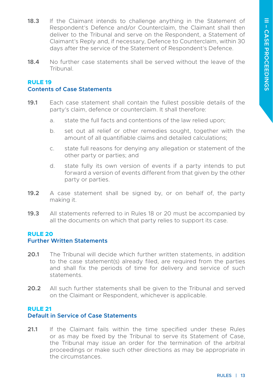- <span id="page-20-0"></span>**18.3** If the Claimant intends to challenge anything in the Statement of Respondent's Defence and/or Counterclaim, the Claimant shall then deliver to the Tribunal and serve on the Respondent, a Statement of Claimant's Reply and, if necessary, Defence to Counterclaim, within 30 days after the service of the Statement of Respondent's Defence.
- **18.4** No further case statements shall be served without the leave of the **Tribunal**

#### **RULE 19 Contents of Case Statements**

- **19.1** Each case statement shall contain the fullest possible details of the party's claim, defence or counterclaim. It shall therefore:
	- a. state the full facts and contentions of the law relied upon;
	- b. set out all relief or other remedies sought, together with the amount of all quantifiable claims and detailed calculations;
	- c. state full reasons for denying any allegation or statement of the other party or parties; and
	- d. state fully its own version of events if a party intends to put forward a version of events different from that given by the other party or parties.
- **19.2** A case statement shall be signed by, or on behalf of, the party making it.
- **19.3** All statements referred to in Rules 18 or 20 must be accompanied by all the documents on which that party relies to support its case.

#### **RULE 20**

#### **Further Written Statements**

- **20.1** The Tribunal will decide which further written statements, in addition to the case statement(s) already filed, are required from the parties and shall fix the periods of time for delivery and service of such statements.
- **20.2** All such further statements shall be given to the Tribunal and served on the Claimant or Respondent, whichever is applicable.

#### **RULE 21**

#### **Default in Service of Case Statements**

**21.1** If the Claimant fails within the time specified under these Rules or as may be fixed by the Tribunal to serve its Statement of Case, the Tribunal may issue an order for the termination of the arbitral proceedings or make such other directions as may be appropriate in the circumstances.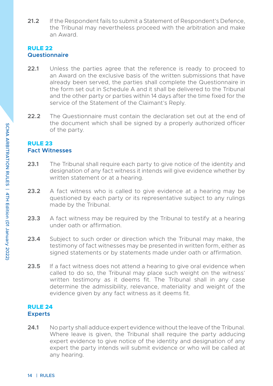<span id="page-21-0"></span>**21.2** If the Respondent fails to submit a Statement of Respondent's Defence, the Tribunal may nevertheless proceed with the arbitration and make an Award.

#### **RULE 22 Questionnaire**

- **22.1** Unless the parties agree that the reference is ready to proceed to an Award on the exclusive basis of the written submissions that have already been served, the parties shall complete the Questionnaire in the form set out in Schedule A and it shall be delivered to the Tribunal and the other party or parties within 14 days after the time fixed for the service of the Statement of the Claimant's Reply.
- **22.2** The Questionnaire must contain the declaration set out at the end of the document which shall be signed by a properly authorized officer of the party.

#### **RULE 23 Fact Witnesses**

- **23.1** The Tribunal shall require each party to give notice of the identity and designation of any fact witness it intends will give evidence whether by written statement or at a hearing.
- **23.2** A fact witness who is called to give evidence at a hearing may be questioned by each party or its representative subject to any rulings made by the Tribunal.
- **23.3** A fact witness may be required by the Tribunal to testify at a hearing under oath or affirmation.
- **23.4** Subject to such order or direction which the Tribunal may make, the testimony of fact witnesses may be presented in written form, either as signed statements or by statements made under oath or affirmation.
- **23.5** If a fact witness does not attend a hearing to give oral evidence when called to do so, the Tribunal may place such weight on the witness' written testimony as it deems fit. The Tribunal shall in any case determine the admissibility, relevance, materiality and weight of the evidence given by any fact witness as it deems fit.

#### **RULE 24 Experts**

**24.1** No party shall adduce expert evidence without the leave of the Tribunal. Where leave is given, the Tribunal shall require the party adducing expert evidence to give notice of the identity and designation of any expert the party intends will submit evidence or who will be called at any hearing.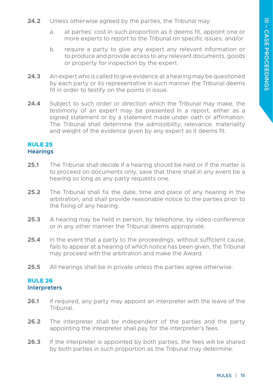- <span id="page-22-0"></span>**24.2** Unless otherwise agreed by the parties, the Tribunal may:
	- a. at parties' cost in such proportion as it deems fit, appoint one or more experts to report to the Tribunal on specific issues; and/or
	- b. require a party to give any expert any relevant information or to produce and provide access to any relevant documents, goods or property for inspection by the expert.
- **24.3** An expert who is called to give evidence at a hearing may be questioned by each party or its representative in such manner the Tribunal deems fit in order to testify on the points in issue.
- **24.4** Subject to such order or direction which the Tribunal may make, the testimony of an expert may be presented in a report, either as a signed statement or by a statement made under oath or affirmation. The Tribunal shall determine the admissibility, relevance, materiality and weight of the evidence given by any expert as it deems fit.

#### **RULE 25 Hearings**

- **25.1** The Tribunal shall decide if a hearing should be held or if the matter is to proceed on documents only, save that there shall in any event be a hearing so long as any party requests one.
- **25.2** The Tribunal shall fix the date, time and place of any hearing in the arbitration, and shall provide reasonable notice to the parties prior to the fixing of any hearing.
- **25.3** A hearing may be held in person, by telephone, by video-conference or in any other manner the Tribunal deems appropriate.
- **25.4** In the event that a party to the proceedings, without sufficient cause, fails to appear at a hearing of which notice has been given, the Tribunal may proceed with the arbitration and make the Award.
- **25.5** All hearings shall be in private unless the parties agree otherwise.

#### **RULE 26 Interpreters**

- **26.1** If required, any party may appoint an interpreter with the leave of the Tribunal.
- **26.2** The interpreter shall be independent of the parties and the party appointing the interpreter shall pay for the interpreter's fees.
- **26.3** If the interpreter is appointed by both parties, the fees will be shared by both parties in such proportion as the Tribunal may determine.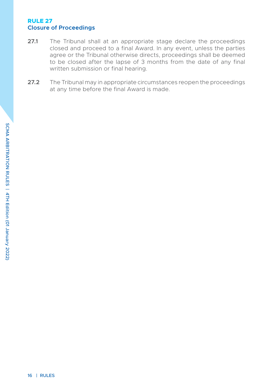#### <span id="page-23-0"></span>**RULE 27 Closure of Proceedings**

- **27.1** The Tribunal shall at an appropriate stage declare the proceedings closed and proceed to a final Award. In any event, unless the parties agree or the Tribunal otherwise directs, proceedings shall be deemed to be closed after the lapse of 3 months from the date of any final written submission or final hearing.
- **27.2** The Tribunal may in appropriate circumstances reopen the proceedings at any time before the final Award is made.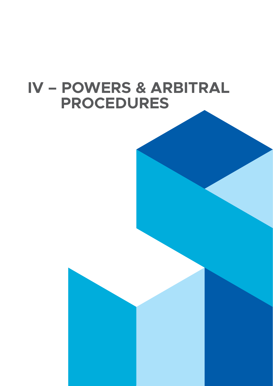# <span id="page-24-0"></span>**IV – POWERS & ARBITRAL PROCEDURES**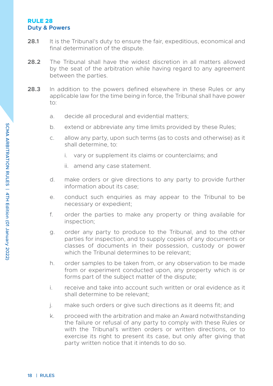#### <span id="page-25-0"></span>**RULE 28 Duty & Powers**

- **28.1** It is the Tribunal's duty to ensure the fair, expeditious, economical and final determination of the dispute.
- **28.2** The Tribunal shall have the widest discretion in all matters allowed by the seat of the arbitration while having regard to any agreement between the parties.
- **28.3** In addition to the powers defined elsewhere in these Rules or any applicable law for the time being in force, the Tribunal shall have power to:
	- a. decide all procedural and evidential matters;
	- b. extend or abbreviate any time limits provided by these Rules;
	- c. allow any party, upon such terms (as to costs and otherwise) as it shall determine, to:
		- i. vary or supplement its claims or counterclaims; and
		- ii. amend any case statement.
	- d. make orders or give directions to any party to provide further information about its case;
	- e. conduct such enquiries as may appear to the Tribunal to be necessary or expedient;
	- f. order the parties to make any property or thing available for inspection;
	- g. order any party to produce to the Tribunal, and to the other parties for inspection, and to supply copies of any documents or classes of documents in their possession, custody or power which the Tribunal determines to be relevant;
	- h. order samples to be taken from, or any observation to be made from or experiment conducted upon, any property which is or forms part of the subject matter of the dispute;
	- i. receive and take into account such written or oral evidence as it shall determine to be relevant;
	- j. make such orders or give such directions as it deems fit; and
	- k. proceed with the arbitration and make an Award notwithstanding the failure or refusal of any party to comply with these Rules or with the Tribunal's written orders or written directions, or to exercise its right to present its case, but only after giving that party written notice that it intends to do so.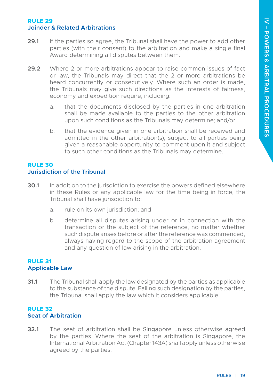#### <span id="page-26-0"></span>**RULE 29 Joinder & Related Arbitrations**

- **29.1** If the parties so agree, the Tribunal shall have the power to add other parties (with their consent) to the arbitration and make a single final Award determining all disputes between them.
- **29.2** Where 2 or more arbitrations appear to raise common issues of fact or law, the Tribunals may direct that the 2 or more arbitrations be heard concurrently or consecutively. Where such an order is made, the Tribunals may give such directions as the interests of fairness, economy and expedition require, including:
	- a. that the documents disclosed by the parties in one arbitration shall be made available to the parties to the other arbitration upon such conditions as the Tribunals may determine; and/or
	- b. that the evidence given in one arbitration shall be received and admitted in the other arbitration(s), subject to all parties being given a reasonable opportunity to comment upon it and subject to such other conditions as the Tribunals may determine.

#### **RULE 30 Jurisdiction of the Tribunal**

- **30.1** In addition to the jurisdiction to exercise the powers defined elsewhere in these Rules or any applicable law for the time being in force, the Tribunal shall have jurisdiction to:
	- a. rule on its own jurisdiction; and
	- b. determine all disputes arising under or in connection with the transaction or the subject of the reference, no matter whether such dispute arises before or after the reference was commenced, always having regard to the scope of the arbitration agreement and any question of law arising in the arbitration.

#### **RULE 31 Applicable Law**

**31.1** The Tribunal shall apply the law designated by the parties as applicable to the substance of the dispute. Failing such designation by the parties, the Tribunal shall apply the law which it considers applicable.

#### **RULE 32 Seat of Arbitration**

**32.1** The seat of arbitration shall be Singapore unless otherwise agreed by the parties. Where the seat of the arbitration is Singapore, the International Arbitration Act (Chapter 143A) shall apply unless otherwise agreed by the parties.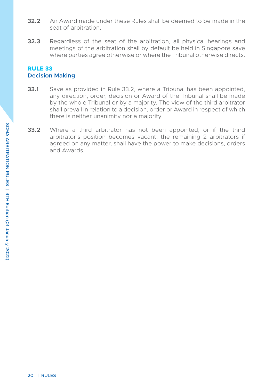- <span id="page-27-0"></span>**32.2** An Award made under these Rules shall be deemed to be made in the seat of arbitration.
- **32.3** Regardless of the seat of the arbitration, all physical hearings and meetings of the arbitration shall by default be held in Singapore save where parties agree otherwise or where the Tribunal otherwise directs.

#### **RULE 33 Decision Making**

- **33.1** Save as provided in Rule 33.2, where a Tribunal has been appointed any direction, order, decision or Award of the Tribunal shall be made by the whole Tribunal or by a majority. The view of the third arbitrator shall prevail in relation to a decision, order or Award in respect of which there is neither unanimity nor a majority.
- **33.2** Where a third arbitrator has not been appointed, or if the third arbitrator's position becomes vacant, the remaining 2 arbitrators if agreed on any matter, shall have the power to make decisions, orders and Awards.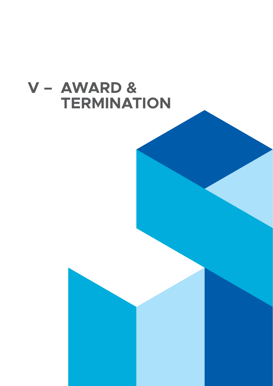<span id="page-28-0"></span>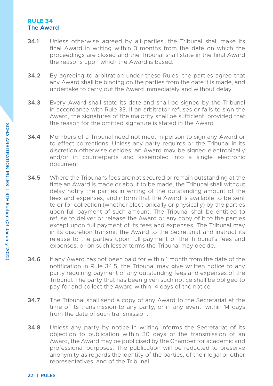#### <span id="page-29-0"></span>**RULE 34 The Award**

- **34.1** Unless otherwise agreed by all parties, the Tribunal shall make its final Award in writing within 3 months from the date on which the proceedings are closed and the Tribunal shall state in the final Award the reasons upon which the Award is based.
- **34.2** By agreeing to arbitration under these Rules, the parties agree that any Award shall be binding on the parties from the date it is made, and undertake to carry out the Award immediately and without delay.
- **34.3** Every Award shall state its date and shall be signed by the Tribunal in accordance with Rule 33. If an arbitrator refuses or fails to sign the Award, the signatures of the majority shall be sufficient, provided that the reason for the omitted signature is stated in the Award.
- **34.4** Members of a Tribunal need not meet in person to sign any Award or to effect corrections. Unless any party requires or the Tribunal in its discretion otherwise decides, an Award may be signed electronically and/or in counterparts and assembled into a single electronic document.
- **34.5** Where the Tribunal's fees are not secured or remain outstanding at the time an Award is made or about to be made, the Tribunal shall without delay notify the parties in writing of the outstanding amount of the fees and expenses, and inform that the Award is available to be sent to or for collection (whether electronically or physically) by the parties upon full payment of such amount. The Tribunal shall be entitled to refuse to deliver or release the Award or any copy of it to the parties except upon full payment of its fees and expenses. The Tribunal may in its discretion transmit the Award to the Secretariat and instruct its release to the parties upon full payment of the Tribunal's fees and expenses, or on such lesser terms the Tribunal may decide.
- **34.6** If any Award has not been paid for within 1 month from the date of the notification in Rule 34.5, the Tribunal may give written notice to any party requiring payment of any outstanding fees and expenses of the Tribunal. The party that has been given such notice shall be obliged to pay for and collect the Award within 14 days of the notice.
- **34.7** The Tribunal shall send a copy of any Award to the Secretariat at the time of its transmission to any party, or in any event, within 14 days from the date of such transmission.
- **34.8** Unless any party by notice in writing informs the Secretariat of its objection to publication within 30 days of the transmission of an Award, the Award may be publicised by the Chamber for academic and professional purposes. The publication will be redacted to preserve anonymity as regards the identity of the parties, of their legal or other representatives, and of the Tribunal.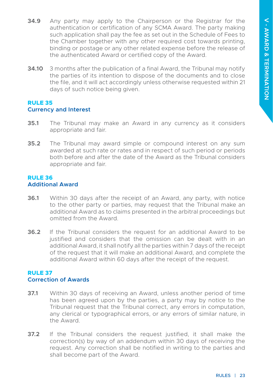- <span id="page-30-0"></span>**34.9** Any party may apply to the Chairperson or the Registrar for the authentication or certification of any SCMA Award. The party making such application shall pay the fee as set out in the Schedule of Fees to the Chamber together with any other required cost towards printing, binding or postage or any other related expense before the release of the authenticated Award or certified copy of the Award.
- **34.10** 3 months after the publication of a final Award, the Tribunal may notify the parties of its intention to dispose of the documents and to close the file, and it will act accordingly unless otherwise requested within 21 days of such notice being given.

#### **RULE 35 Currency and Interest**

- **35.1** The Tribunal may make an Award in any currency as it considers appropriate and fair.
- **35.2** The Tribunal may award simple or compound interest on any sum awarded at such rate or rates and in respect of such period or periods both before and after the date of the Award as the Tribunal considers appropriate and fair.

#### **RULE 36 Additional Award**

- **36.1** Within 30 days after the receipt of an Award, any party, with notice to the other party or parties, may request that the Tribunal make an additional Award as to claims presented in the arbitral proceedings but omitted from the Award.
- **36.2** If the Tribunal considers the request for an additional Award to be justified and considers that the omission can be dealt with in an additional Award, it shall notify all the parties within 7 days of the receipt of the request that it will make an additional Award, and complete the additional Award within 60 days after the receipt of the request.

#### **RULE 37 Correction of Awards**

- **37.1** Within 30 days of receiving an Award, unless another period of time has been agreed upon by the parties, a party may by notice to the Tribunal request that the Tribunal correct, any errors in computation, any clerical or typographical errors, or any errors of similar nature, in the Award.
- **37.2** If the Tribunal considers the request justified, it shall make the correction(s) by way of an addendum within 30 days of receiving the request. Any correction shall be notified in writing to the parties and shall become part of the Award.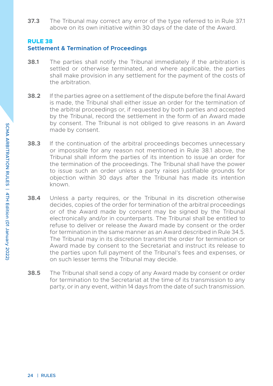<span id="page-31-0"></span>**37.3** The Tribunal may correct any error of the type referred to in Rule 37.1 above on its own initiative within 30 days of the date of the Award.

#### **RULE 38**

#### **Settlement & Termination of Proceedings**

- **38.1** The parties shall notify the Tribunal immediately if the arbitration is settled or otherwise terminated, and where applicable, the parties shall make provision in any settlement for the payment of the costs of the arbitration.
- **38.2** If the parties agree on a settlement of the dispute before the final Award is made, the Tribunal shall either issue an order for the termination of the arbitral proceedings or, if requested by both parties and accepted by the Tribunal, record the settlement in the form of an Award made by consent. The Tribunal is not obliged to give reasons in an Award made by consent.
- **38.3** If the continuation of the arbitral proceedings becomes unnecessary or impossible for any reason not mentioned in Rule 38.1 above, the Tribunal shall inform the parties of its intention to issue an order for the termination of the proceedings. The Tribunal shall have the power to issue such an order unless a party raises justifiable grounds for objection within 30 days after the Tribunal has made its intention known.
- **38.4** Unless a party requires, or the Tribunal in its discretion otherwise decides, copies of the order for termination of the arbitral proceedings or of the Award made by consent may be signed by the Tribunal electronically and/or in counterparts. The Tribunal shall be entitled to refuse to deliver or release the Award made by consent or the order for termination in the same manner as an Award described in Rule 34.5. The Tribunal may in its discretion transmit the order for termination or Award made by consent to the Secretariat and instruct its release to the parties upon full payment of the Tribunal's fees and expenses, or on such lesser terms the Tribunal may decide.
- **38.5** The Tribunal shall send a copy of any Award made by consent or order for termination to the Secretariat at the time of its transmission to any party, or in any event, within 14 days from the date of such transmission.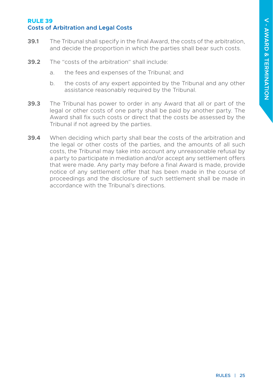#### <span id="page-32-0"></span>**RULE 39 Costs of Arbitration and Legal Costs**

- **39.1** The Tribunal shall specify in the final Award, the costs of the arbitration and decide the proportion in which the parties shall bear such costs.
- **39.2** The "costs of the arbitration" shall include:
	- a. the fees and expenses of the Tribunal; and
	- b. the costs of any expert appointed by the Tribunal and any other assistance reasonably required by the Tribunal.
- **39.3** The Tribunal has power to order in any Award that all or part of the legal or other costs of one party shall be paid by another party. The Award shall fix such costs or direct that the costs be assessed by the Tribunal if not agreed by the parties.
- **39.4** When deciding which party shall bear the costs of the arbitration and the legal or other costs of the parties, and the amounts of all such costs, the Tribunal may take into account any unreasonable refusal by a party to participate in mediation and/or accept any settlement offers that were made. Any party may before a final Award is made, provide notice of any settlement offer that has been made in the course of proceedings and the disclosure of such settlement shall be made in accordance with the Tribunal's directions.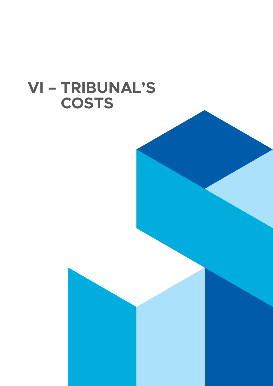## <span id="page-33-0"></span>**VI – TRIBUNAL'S COSTS**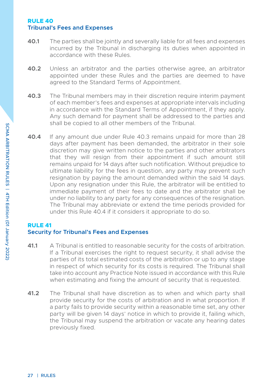#### <span id="page-34-0"></span>**RULE 40 Tribunal's Fees and Expenses**

- **40.1** The parties shall be jointly and severally liable for all fees and expenses incurred by the Tribunal in discharging its duties when appointed in accordance with these Rules.
- **40.2** Unless an arbitrator and the parties otherwise agree, an arbitrator appointed under these Rules and the parties are deemed to have agreed to the Standard Terms of Appointment.
- **40.3** The Tribunal members may in their discretion require interim payment of each member's fees and expenses at appropriate intervals including in accordance with the Standard Terms of Appointment, if they apply. Any such demand for payment shall be addressed to the parties and shall be copied to all other members of the Tribunal.
- **40.4** If any amount due under Rule 40.3 remains unpaid for more than 28 days after payment has been demanded, the arbitrator in their sole discretion may give written notice to the parties and other arbitrators that they will resign from their appointment if such amount still remains unpaid for 14 days after such notification. Without prejudice to ultimate liability for the fees in question, any party may prevent such resignation by paying the amount demanded within the said 14 days. Upon any resignation under this Rule, the arbitrator will be entitled to immediate payment of their fees to date and the arbitrator shall be under no liability to any party for any consequences of the resignation. The Tribunal may abbreviate or extend the time periods provided for under this Rule 40.4 if it considers it appropriate to do so.

### **RULE 41**

### **Security for Tribunal's Fees and Expenses**

- **41.1** A Tribunal is entitled to reasonable security for the costs of arbitration. If a Tribunal exercises the right to request security, it shall advise the parties of its total estimated costs of the arbitration or up to any stage in respect of which security for its costs is required. The Tribunal shall take into account any Practice Note issued in accordance with this Rule when estimating and fixing the amount of security that is requested.
- **41.2** The Tribunal shall have discretion as to when and which party shall provide security for the costs of arbitration and in what proportion. If a party fails to provide security within a reasonable time set, any other party will be given 14 days' notice in which to provide it, failing which, the Tribunal may suspend the arbitration or vacate any hearing dates previously fixed.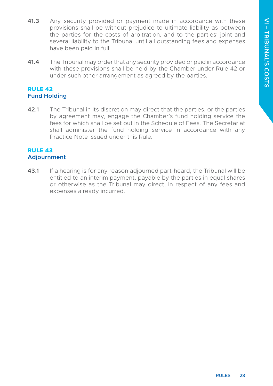- <span id="page-35-0"></span>**41.3** Any security provided or payment made in accordance with these provisions shall be without prejudice to ultimate liability as between the parties for the costs of arbitration, and to the parties' joint and several liability to the Tribunal until all outstanding fees and expenses have been paid in full.
- **41.4** The Tribunal may order that any security provided or paid in accordance with these provisions shall be held by the Chamber under Rule 42 or under such other arrangement as agreed by the parties.

#### **RULE 42 Fund Holding**

**42.1** The Tribunal in its discretion may direct that the parties, or the parties by agreement may, engage the Chamber's fund holding service the fees for which shall be set out in the Schedule of Fees. The Secretariat shall administer the fund holding service in accordance with any Practice Note issued under this Rule.

#### **RULE 43 Adjournment**

**43.1** If a hearing is for any reason adjourned part-heard, the Tribunal will be entitled to an interim payment, payable by the parties in equal shares or otherwise as the Tribunal may direct, in respect of any fees and expenses already incurred.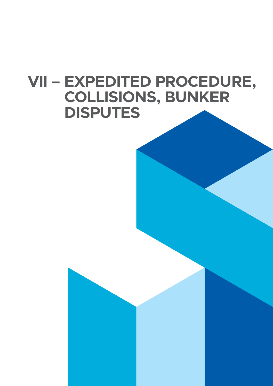# <span id="page-36-0"></span>**VII – EXPEDITED PROCEDURE, COLLISIONS, BUNKER DISPUTES**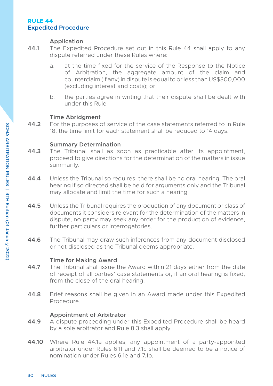#### <span id="page-37-0"></span>**RULE 44 Expedited Procedure**

#### **Application**

- **44.1** The Expedited Procedure set out in this Rule 44 shall apply to any dispute referred under these Rules where:
	- a. at the time fixed for the service of the Response to the Notice of Arbitration, the aggregate amount of the claim and counterclaim (if any) in dispute is equal to or less than US\$300,000 (excluding interest and costs); or
	- b. the parties agree in writing that their dispute shall be dealt with under this Rule.

#### **Time Abridgment**

**44.2** For the purposes of service of the case statements referred to in Rule 18, the time limit for each statement shall be reduced to 14 days.

#### **Summary Determination**

- **44.3** The Tribunal shall as soon as practicable after its appointment, proceed to give directions for the determination of the matters in issue summarily.
- **44.4** Unless the Tribunal so requires, there shall be no oral hearing. The oral hearing if so directed shall be held for arguments only and the Tribunal may allocate and limit the time for such a hearing.
- **44.5** Unless the Tribunal requires the production of any document or class of documents it considers relevant for the determination of the matters in dispute, no party may seek any order for the production of evidence, further particulars or interrogatories.
- **44.6** The Tribunal may draw such inferences from any document disclosed or not disclosed as the Tribunal deems appropriate.

#### **Time for Making Award**

- **44.7** The Tribunal shall issue the Award within 21 days either from the date of receipt of all parties' case statements or, if an oral hearing is fixed, from the close of the oral hearing.
- **44.8** Brief reasons shall be given in an Award made under this Expedited Procedure.

#### **Appointment of Arbitrator**

- **44.9** A dispute proceeding under this Expedited Procedure shall be heard by a sole arbitrator and Rule 8.3 shall apply.
- **44.10** Where Rule 44.1a applies, any appointment of a party-appointed arbitrator under Rules 6.1f and 7.1c shall be deemed to be a notice of nomination under Rules 6.1e and 7.1b.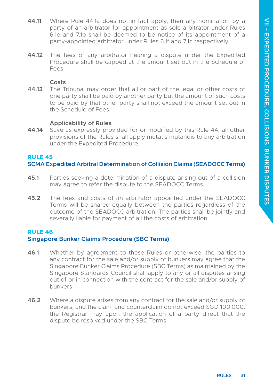- <span id="page-38-0"></span>**44.11** Where Rule 44.1a does not in fact apply, then any nomination by a party of an arbitrator for appointment as sole arbitrator under Rules 6.1e and 7.1b shall be deemed to be notice of its appointment of a party-appointed arbitrator under Rules 6.1f and 7.1c respectively.
- **44.12** The fees of any arbitrator hearing a dispute under the Expedited Procedure shall be capped at the amount set out in the Schedule of Fees.

#### **Costs**

**44.13** The Tribunal may order that all or part of the legal or other costs of one party shall be paid by another party but the amount of such costs to be paid by that other party shall not exceed the amount set out in the Schedule of Fees.

#### **Applicability of Rules**

**44.14** Save as expressly provided for or modified by this Rule 44, all other provisions of the Rules shall apply mutatis mutandis to any arbitration under the Expedited Procedure.

#### **RULE 45**

#### **SCMA Expedited Arbitral Determination of Collision Claims (SEADOCC Terms)**

- **45.1** Parties seeking a determination of a dispute arising out of a collision may agree to refer the dispute to the SEADOCC Terms.
- **45.2** The fees and costs of an arbitrator appointed under the SEADOCC Terms will be shared equally between the parties regardless of the outcome of the SEADOCC arbitration. The parties shall be jointly and severally liable for payment of all the costs of arbitration.

#### **RULE 46**

#### **Singapore Bunker Claims Procedure (SBC Terms)**

- **46.1** Whether by agreement to these Rules or otherwise, the parties to any contract for the sale and/or supply of bunkers may agree that the Singapore Bunker Claims Procedure (SBC Terms) as maintained by the Singapore Standards Council shall apply to any or all disputes arising out of or in connection with the contract for the sale and/or supply of bunkers.
- **46.2** Where a dispute arises from any contract for the sale and/or supply of bunkers, and the claim and counterclaim do not exceed SGD 100,000, the Registrar may upon the application of a party direct that the dispute be resolved under the SBC Terms.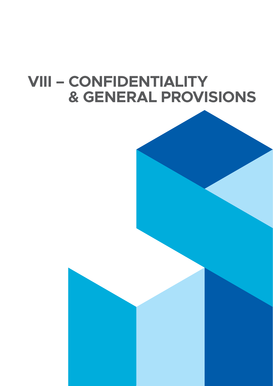# <span id="page-39-0"></span>**VIII – CONFIDENTIALITY & GENERAL PROVISIONS**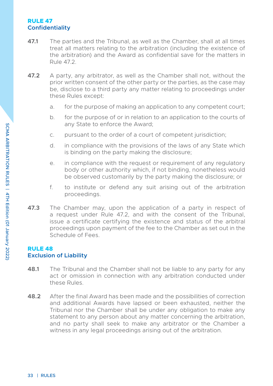#### <span id="page-40-0"></span>**RULE 47 Confidentiality**

- **47.1** The parties and the Tribunal, as well as the Chamber, shall at all times treat all matters relating to the arbitration (including the existence of the arbitration) and the Award as confidential save for the matters in Rule 472
- **47.2** A party, any arbitrator, as well as the Chamber shall not, without the prior written consent of the other party or the parties, as the case may be, disclose to a third party any matter relating to proceedings under these Rules except:
	- a. for the purpose of making an application to any competent court;
	- b. for the purpose of or in relation to an application to the courts of any State to enforce the Award;
	- c. pursuant to the order of a court of competent jurisdiction;
	- d. in compliance with the provisions of the laws of any State which is binding on the party making the disclosure;
	- e. in compliance with the request or requirement of any regulatory body or other authority which, if not binding, nonetheless would be observed customarily by the party making the disclosure; or
	- f. to institute or defend any suit arising out of the arbitration proceedings.
- **47.3** The Chamber may, upon the application of a party in respect of a request under Rule 47.2, and with the consent of the Tribunal, issue a certificate certifying the existence and status of the arbitral proceedings upon payment of the fee to the Chamber as set out in the Schedule of Fees.

#### **RULE 48 Exclusion of Liability**

- **48.1** The Tribunal and the Chamber shall not be liable to any party for any act or omission in connection with any arbitration conducted under these Rules.
- **48.2** After the final Award has been made and the possibilities of correction and additional Awards have lapsed or been exhausted, neither the Tribunal nor the Chamber shall be under any obligation to make any statement to any person about any matter concerning the arbitration, and no party shall seek to make any arbitrator or the Chamber a witness in any legal proceedings arising out of the arbitration.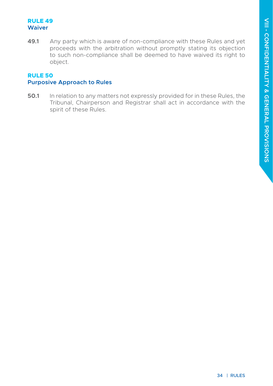#### <span id="page-41-0"></span>**RULE 49 Waiver**

**49.1** Any party which is aware of non-compliance with these Rules and yet proceeds with the arbitration without promptly stating its objection to such non-compliance shall be deemed to have waived its right to object.

#### **RULE 50 Purposive Approach to Rules**

**50.1** In relation to any matters not expressly provided for in these Rules, the Tribunal, Chairperson and Registrar shall act in accordance with the spirit of these Rules.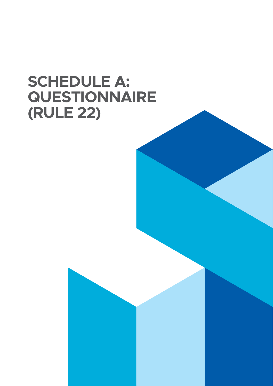# **SCHEDULE A: QUESTIONNAIRE (RULE 22)**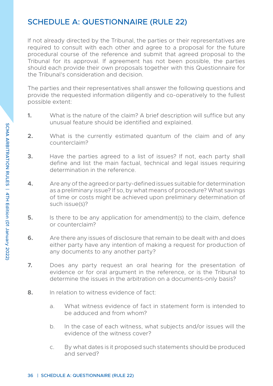## <span id="page-43-0"></span>SCHEDULE A: QUESTIONNAIRE (RULE 22)

If not already directed by the Tribunal, the parties or their representatives are required to consult with each other and agree to a proposal for the future procedural course of the reference and submit that agreed proposal to the Tribunal for its approval. If agreement has not been possible, the parties should each provide their own proposals together with this Questionnaire for the Tribunal's consideration and decision.

The parties and their representatives shall answer the following questions and provide the requested information diligently and co-operatively to the fullest possible extent:

- **1.** What is the nature of the claim? A brief description will suffice but any unusual feature should be identified and explained.
- **2.** What is the currently estimated quantum of the claim and of any counterclaim?
- **3.** Have the parties agreed to a list of issues? If not, each party shall define and list the main factual, technical and legal issues requiring determination in the reference.
- **4.** Are any of the agreed or party-defined issues suitable for determination as a preliminary issue? If so, by what means of procedure? What savings of time or costs might be achieved upon preliminary determination of such issue(s)?
- **5.** Is there to be any application for amendment(s) to the claim, defence or counterclaim?
- **6.** Are there any issues of disclosure that remain to be dealt with and does either party have any intention of making a request for production of any documents to any another party?
- **7.** Does any party request an oral hearing for the presentation of evidence or for oral argument in the reference, or is the Tribunal to determine the issues in the arbitration on a documents-only basis?
- **8.** In relation to witness evidence of fact:
	- a. What witness evidence of fact in statement form is intended to be adduced and from whom?
	- b. In the case of each witness, what subjects and/or issues will the evidence of the witness cover?
	- c. By what dates is it proposed such statements should be produced and served?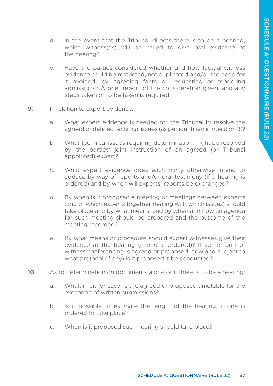- d. In the event that the Tribunal directs there is to be a hearing, which witness(es) will be called to give oral evidence at the hearing?
- e. Have the parties considered whether and how factual witness evidence could be restricted, not duplicated and/or the need for it avoided, by agreeing facts or requesting or tendering admissions? A brief report of the consideration given, and any steps taken or to be taken is required.
- **9.** In relation to expert evidence:
	- a. What expert evidence is needed for the Tribunal to resolve the agreed or defined technical issues (as per identified in question 3)?
	- b. What technical issues requiring determination might be resolved by the parties' joint instruction of an agreed (or Tribunal appointed) expert?
	- c. What expert evidence does each party otherwise intend to adduce by way of reports and/or oral testimony (if a hearing is ordered) and by when will experts' reports be exchanged?
	- d. By when is it proposed a meeting or meetings between experts (and of which experts together dealing with which issues) should take place and by what means; and by when and how an agenda for such meeting should be prepared and the outcome of the meeting recorded?
	- e. By what means or procedure should expert witnesses give their evidence at the hearing (if one is ordered)? If some form of witness conferencing is agreed or proposed, how and subject to what protocol (if any) is it proposed it be conducted?
- **10.** As to determination on documents alone or if there is to be a hearing:
	- a. What, in either case, is the agreed or proposed timetable for the exchange of written submissions?
	- b. Is it possible to estimate the length of the hearing, if one is ordered to take place?
	- c. When is it proposed such hearing should take place?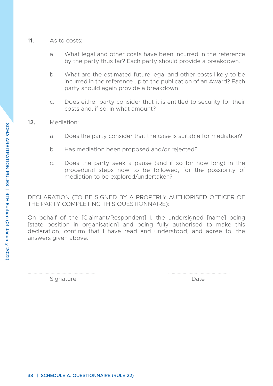- **11.** As to costs:
	- a. What legal and other costs have been incurred in the reference by the party thus far? Each party should provide a breakdown.
	- b. What are the estimated future legal and other costs likely to be incurred in the reference up to the publication of an Award? Each party should again provide a breakdown.
	- c. Does either party consider that it is entitled to security for their costs and, if so, in what amount?
- **12.** Mediation:
	- a. Does the party consider that the case is suitable for mediation?
	- b. Has mediation been proposed and/or rejected?
	- c. Does the party seek a pause (and if so for how long) in the procedural steps now to be followed, for the possibility of mediation to be explored/undertaken?

DECLARATION (TO BE SIGNED BY A PROPERLY AUTHORISED OFFICER OF THE PARTY COMPLETING THIS QUESTIONNAIRE):

On behalf of the [Claimant/Respondent] I, the undersigned [name] being [state position in organisation] and being fully authorised to make this declaration, confirm that I have read and understood, and agree to, the answers given above.

Signature Date

………………………………………………… ……………………………………………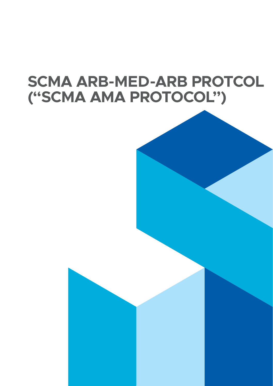# **SCMA ARB-MED-ARB PROTCOL ("SCMA AMA PROTOCOL")**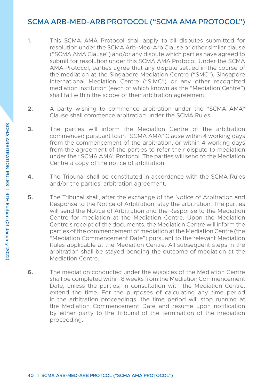### <span id="page-47-0"></span>SCMA ARB-MED-ARB PROTOCOL ("SCMA AMA PROTOCOL")

- **1.** This SCMA AMA Protocol shall apply to all disputes submitted for resolution under the SCMA Arb-Med-Arb Clause or other similar clause ("SCMA AMA Clause") and/or any dispute which parties have agreed to submit for resolution under this SCMA AMA Protocol. Under the SCMA AMA Protocol, parties agree that any dispute settled in the course of the mediation at the Singapore Mediation Centre ("SMC"), Singapore International Mediation Centre ("SIMC") or any other recognized mediation institution (each of which known as the "Mediation Centre") shall fall within the scope of their arbitration agreement.
- **2.** A party wishing to commence arbitration under the "SCMA AMA" Clause shall commence arbitration under the SCMA Rules.
- **3.** The parties will inform the Mediation Centre of the arbitration commenced pursuant to an "SCMA AMA" Clause within 4 working days from the commencement of the arbitration, or within 4 working days from the agreement of the parties to refer their dispute to mediation under the "SCMA AMA" Protocol. The parties will send to the Mediation Centre a copy of the notice of arbitration.
- **4.** The Tribunal shall be constituted in accordance with the SCMA Rules and/or the parties' arbitration agreement.
- **5.** The Tribunal shall, after the exchange of the Notice of Arbitration and Response to the Notice of Arbitration, stay the arbitration. The parties will send the Notice of Arbitration and the Response to the Mediation Centre for mediation at the Mediation Centre. Upon the Mediation Centre's receipt of the documents, the Mediation Centre will inform the parties of the commencement of mediation at the Mediation Centre (the "Mediation Commencement Date") pursuant to the relevant Mediation Rules applicable at the Mediation Centre. All subsequent steps in the arbitration shall be stayed pending the outcome of mediation at the Mediation Centre.
- **6.** The mediation conducted under the auspices of the Mediation Centre shall be completed within 8 weeks from the Mediation Commencement Date, unless the parties, in consultation with the Mediation Centre, extend the time. For the purposes of calculating any time period in the arbitration proceedings, the time period will stop running at the Mediation Commencement Date and resume upon notification by either party to the Tribunal of the termination of the mediation proceeding.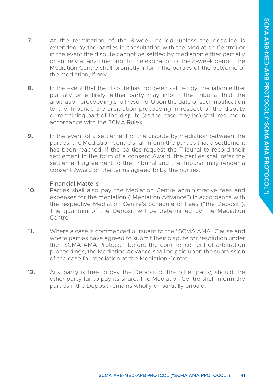- **7.** At the termination of the 8-week period (unless the deadline is extended by the parties in consultation with the Mediation Centre) or in the event the dispute cannot be settled by mediation either partially or entirely at any time prior to the expiration of the 8-week period, the Mediation Centre shall promptly inform the parties of the outcome of the mediation, if any.
- **8.** In the event that the dispute has not been settled by mediation either partially or entirely, either party may inform the Tribunal that the arbitration proceeding shall resume. Upon the date of such notification to the Tribunal, the arbitration proceeding in respect of the dispute or remaining part of the dispute (as the case may be) shall resume in accordance with the SCMA Rules.
- **9.** In the event of a settlement of the dispute by mediation between the parties, the Mediation Centre shall inform the parties that a settlement has been reached. If the parties request the Tribunal to record their settlement in the form of a consent Award, the parties shall refer the settlement agreement to the Tribunal and the Tribunal may render a consent Award on the terms agreed to by the parties.

#### Financial Matters

- **10.** Parties shall also pay the Mediation Centre administrative fees and expenses for the mediation ("Mediation Advance") in accordance with the respective Mediation Centre's Schedule of Fees ("the Deposit"). The quantum of the Deposit will be determined by the Mediation Centre.
- **11.** Where a case is commenced pursuant to the "SCMA AMA" Clause and where parties have agreed to submit their dispute for resolution under the "SCMA AMA Protocol" before the commencement of arbitration proceedings, the Mediation Advance shall be paid upon the submission of the case for mediation at the Mediation Centre.
- **12.** Any party is free to pay the Deposit of the other party, should the other party fail to pay its share. The Mediation Centre shall inform the parties if the Deposit remains wholly or partially unpaid.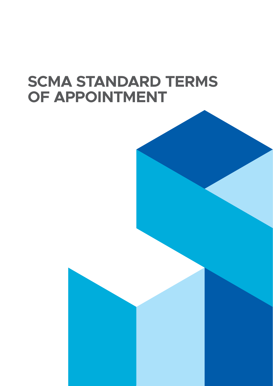# **SCMA STANDARD TERMS OF APPOINTMENT**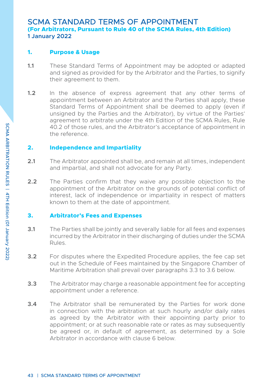#### <span id="page-50-0"></span>SCMA STANDARD TERMS OF APPOINTMENT **(For Arbitrators, Pursuant to Rule 40 of the SCMA Rules, 4th Edition) 1 January 2022**

#### **1. Purpose & Usage**

- **1.1** These Standard Terms of Appointment may be adopted or adapted and signed as provided for by the Arbitrator and the Parties, to signify their agreement to them.
- **1.2** In the absence of express agreement that any other terms of appointment between an Arbitrator and the Parties shall apply, these Standard Terms of Appointment shall be deemed to apply (even if unsigned by the Parties and the Arbitrator), by virtue of the Parties' agreement to arbitrate under the 4th Edition of the SCMA Rules, Rule 40.2 of those rules, and the Arbitrator's acceptance of appointment in the reference.

#### **2. Independence and Impartiality**

- **2.1** The Arbitrator appointed shall be, and remain at all times, independent and impartial, and shall not advocate for any Party.
- **2.2** The Parties confirm that they waive any possible objection to the appointment of the Arbitrator on the grounds of potential conflict of interest, lack of independence or impartiality in respect of matters known to them at the date of appointment.

#### **3. Arbitrator's Fees and Expenses**

- **3.1** The Parties shall be jointly and severally liable for all fees and expenses incurred by the Arbitrator in their discharging of duties under the SCMA Rules.
- **3.2** For disputes where the Expedited Procedure applies, the fee cap set out in the Schedule of Fees maintained by the Singapore Chamber of Maritime Arbitration shall prevail over paragraphs 3.3 to 3.6 below.
- **3.3** The Arbitrator may charge a reasonable appointment fee for accepting appointment under a reference.
- **3.4** The Arbitrator shall be remunerated by the Parties for work done in connection with the arbitration at such hourly and/or daily rates as agreed by the Arbitrator with their appointing party prior to appointment; or at such reasonable rate or rates as may subsequently be agreed or, in default of agreement, as determined by a Sole Arbitrator in accordance with clause 6 below.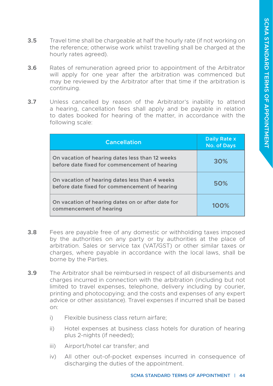- **3.5** Travel time shall be chargeable at half the hourly rate (if not working on the reference; otherwise work whilst travelling shall be charged at the hourly rates agreed).
- **3.6** Rates of remuneration agreed prior to appointment of the Arbitrator will apply for one year after the arbitration was commenced but may be reviewed by the Arbitrator after that time if the arbitration is continuing.
- **3.7** Unless cancelled by reason of the Arbitrator's inability to attend a hearing, cancellation fees shall apply and be payable in relation to dates booked for hearing of the matter, in accordance with the following scale:

| <b>Cancellation</b>                                                                              | Daily Rate x<br>No. of Days |
|--------------------------------------------------------------------------------------------------|-----------------------------|
| On vacation of hearing dates less than 12 weeks<br>before date fixed for commencement of hearing | 30%                         |
| On vacation of hearing dates less than 4 weeks<br>before date fixed for commencement of hearing  | 50%                         |
| On vacation of hearing dates on or after date for<br>commencement of hearing                     | 100%                        |

- **3.8** Fees are payable free of any domestic or withholding taxes imposed by the authorities on any party or by authorities at the place of arbitration. Sales or service tax (VAT/GST) or other similar taxes or charges, where payable in accordance with the local laws, shall be borne by the Parties.
- **3.9** The Arbitrator shall be reimbursed in respect of all disbursements and charges incurred in connection with the arbitration (including but not limited to travel expenses, telephone, delivery including by courier, printing and photocopying; and the costs and expenses of any expert advice or other assistance). Travel expenses if incurred shall be based on:
	- i) Flexible business class return airfare;
	- ii) Hotel expenses at business class hotels for duration of hearing plus 2-nights (if needed);
	- iii) Airport/hotel car transfer; and
	- iv) All other out-of-pocket expenses incurred in consequence of discharging the duties of the appointment.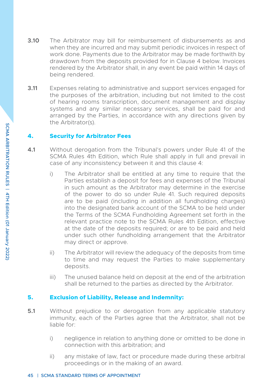- **3.10** The Arbitrator may bill for reimbursement of disbursements as and when they are incurred and may submit periodic invoices in respect of work done. Payments due to the Arbitrator may be made forthwith by drawdown from the deposits provided for in Clause 4 below. Invoices rendered by the Arbitrator shall, in any event be paid within 14 days of being rendered.
- **3.11** Expenses relating to administrative and support services engaged for the purposes of the arbitration, including but not limited to the cost of hearing rooms transcription, document management and display systems and any similar necessary services, shall be paid for and arranged by the Parties, in accordance with any directions given by the Arbitrator(s).

#### **4. Security for Arbitrator Fees**

- **4.1** Without derogation from the Tribunal's powers under Rule 41 of the SCMA Rules 4th Edition, which Rule shall apply in full and prevail in case of any inconsistency between it and this clause 4:
	- i) The Arbitrator shall be entitled at any time to require that the Parties establish a deposit for fees and expenses of the Tribunal in such amount as the Arbitrator may determine in the exercise of the power to do so under Rule 41. Such required deposits are to be paid (including in addition all fundholding charges) into the designated bank account of the SCMA to be held under the Terms of the SCMA Fundholding Agreement set forth in the relevant practice note to the SCMA Rules 4th Edition, effective at the date of the deposits required; or are to be paid and held under such other fundholding arrangement that the Arbitrator may direct or approve.
	- ii) The Arbitrator will review the adequacy of the deposits from time to time and may request the Parties to make supplementary deposits.
	- iii) The unused balance held on deposit at the end of the arbitration shall be returned to the parties as directed by the Arbitrator.

#### **5. Exclusion of Liability, Release and Indemnity:**

- **5.1** Without prejudice to or derogation from any applicable statutory immunity, each of the Parties agree that the Arbitrator, shall not be liable for:
	- i) negligence in relation to anything done or omitted to be done in connection with this arbitration; and
	- ii) any mistake of law, fact or procedure made during these arbitral proceedings or in the making of an award.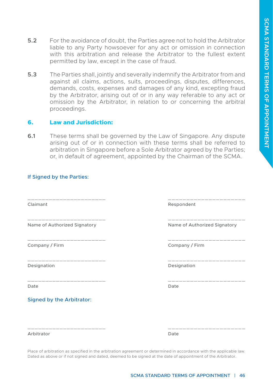- **5.2** For the avoidance of doubt, the Parties agree not to hold the Arbitrator liable to any Party howsoever for any act or omission in connection with this arbitration and release the Arbitrator to the fullest extent permitted by law, except in the case of fraud.
- **5.3** The Parties shall, jointly and severally indemnify the Arbitrator from and against all claims, actions, suits, proceedings, disputes, differences, demands, costs, expenses and damages of any kind, excepting fraud by the Arbitrator, arising out of or in any way referable to any act or omission by the Arbitrator, in relation to or concerning the arbitral proceedings.

#### **6. Law and Jurisdiction:**

**6.1** These terms shall be governed by the Law of Singapore. Any dispute arising out of or in connection with these terms shall be referred to arbitration in Singapore before a Sole Arbitrator agreed by the Parties; or, in default of agreement, appointed by the Chairman of the SCMA.

\_\_\_\_\_\_\_\_\_\_\_\_\_\_\_\_\_\_\_\_\_\_ \_\_\_\_\_\_\_\_\_\_\_\_\_\_\_\_\_\_\_\_\_

\_\_\_\_\_\_\_\_\_\_\_\_\_\_\_\_\_\_\_\_\_\_ \_\_\_\_\_\_\_\_\_\_\_\_\_\_\_\_\_\_\_\_\_

\_\_\_\_\_\_\_\_\_\_\_\_\_\_\_\_\_\_\_\_\_\_ \_\_\_\_\_\_\_\_\_\_\_\_\_\_\_\_\_\_\_\_\_

\_\_\_\_\_\_\_\_\_\_\_\_\_\_\_\_\_\_\_\_\_\_ \_\_\_\_\_\_\_\_\_\_\_\_\_\_\_\_\_\_\_\_\_

\_\_\_\_\_\_\_\_\_\_\_\_\_\_\_\_\_\_\_\_\_\_ \_\_\_\_\_\_\_\_\_\_\_\_\_\_\_\_\_\_\_\_\_

#### If Signed by the Parties:

Name of Authorized Signatory **Name of Authorized Signatory** Name of Authorized Signatory

Company / Firm Company / Firm

Date **Date** Date **Date** Date **Date** 

Signed by the Arbitrator:

Claimant **Respondent** Respondent

Designation Designation

Arbitrator Date

Place of arbitration as specified in the arbitration agreement or determined in accordance with the applicable law. Dated as above or if not signed and dated, deemed to be signed at the date of appointment of the Arbitrator.

\_\_\_\_\_\_\_\_\_\_\_\_\_\_\_\_\_\_\_\_\_\_ \_\_\_\_\_\_\_\_\_\_\_\_\_\_\_\_\_\_\_\_\_